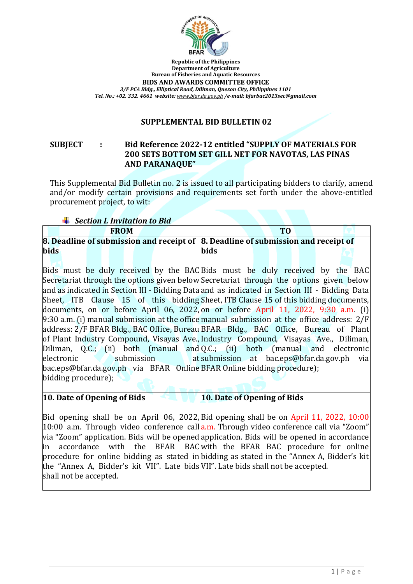

**Republic of the Philippines Department of Agriculture Bureau of Fisheries and Aquatic Resources BIDS AND AWARDS COMMITTEE OFFICE** *3/F PCA Bldg., Elliptical Road, Diliman, Quezon City, Philippines 1101 Tel. No.: +02. 332. 4661 website: [www.bfar.da.gov.ph](http://www.bfar.da.gov.ph/) /e-mail: bfarbac2013sec@gmail.com*

### **SUPPLEMENTAL BID BULLETIN 02**

## **SUBJECT : Bid Reference 2022-12 entitled "SUPPLY OF MATERIALS FOR 200 SETS BOTTOM SET GILL NET FOR NAVOTAS, LAS PINAS AND PARANAQUE"**

This Supplemental Bid Bulletin no. 2 is issued to all participating bidders to clarify, amend and/or modify certain provisions and requirements set forth under the above-entitled procurement project, to wit:

*Section I. Invitation to Bid*

|             |  | <b>FROM</b> |  |                                                                                   |  |  |  |
|-------------|--|-------------|--|-----------------------------------------------------------------------------------|--|--|--|
|             |  |             |  | 8. Deadline of submission and receipt of 8. Deadline of submission and receipt of |  |  |  |
| <b>bids</b> |  |             |  | <b>bids</b>                                                                       |  |  |  |

Bids must be duly received by the BAC Bids must be duly received by the BAC Secretariat through the options given below Secretariat through the options given below and as indicated in Section III - Bidding Data and as indicated in Section III - Bidding Data Sheet, ITB Clause 15 of this bidding Sheet, ITB Clause 15 of this bidding documents, documents, on or before April 06, 2022, on or before April 11, 2022, 9:30 a.m. (i) 9:30 a.m. (i) manual submission at the office manual submission at the office address: 2/F address: 2/F BFAR Bldg., BAC Office, Bureau BFAR Bldg., BAC Office, Bureau of Plant of Plant Industry Compound, Visayas Ave., Industry Compound, Visayas Ave., Diliman, Diliman, Q.C.; (ii) both (manual and  $Q.C.;$  (ii) both (manual and electronic electronic submission bac.eps@bfar.da.gov.ph via BFAR Online BFAR Online bidding procedure); bidding procedure); submission at bac.eps@bfar.da.gov.ph via

**10. Date of Opening of Bids**

**10. Date of Opening of Bids**

Bid opening shall be on April 06, 2022, Bid opening shall be on April 11, 2022, 10:00 10:00 a.m. Through video conference call a.m. Through video conference call via "Zoom" via "Zoom" application. Bids will be opened application. Bids will be opened in accordance in accordance with the BFAR BAC with the BFAR BAC procedure for online procedure for online bidding as stated in bidding as stated in the "Annex A, Bidder's kit the "Annex A, Bidder's kit VII". Late bids VII". Late bids shall not be accepted. shall not be accepted.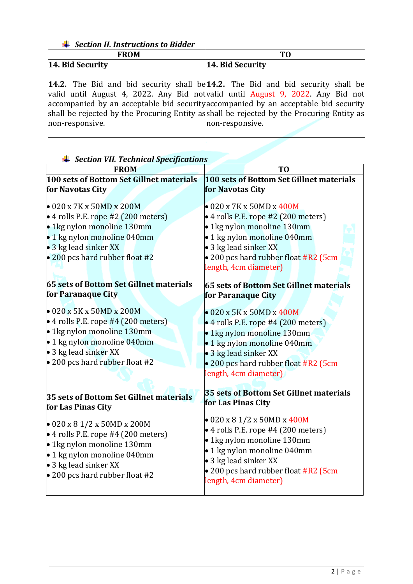## *Section II. Instructions to Bidder*

|                  |  |  |  | <b>FROM</b> |                                                                                           |  |  |  |                         |  |  |  |  |  |  |  |  |
|------------------|--|--|--|-------------|-------------------------------------------------------------------------------------------|--|--|--|-------------------------|--|--|--|--|--|--|--|--|
| 14. Bid Security |  |  |  |             |                                                                                           |  |  |  | <b>14. Bid Security</b> |  |  |  |  |  |  |  |  |
|                  |  |  |  |             | <b>14.2.</b> The Bid and bid security shall be $14.2$ . The Bid and bid security shall be |  |  |  |                         |  |  |  |  |  |  |  |  |

valid until August 4, 2022. Any Bid not accompanied by an acceptable bid security shall be rejected by the Procuring Entity asshall be rejected by the Procuring Entity as non-responsive. valid until August 9, 2022. Any Bid not accompanied by an acceptable bid security non-responsive.

| because the recent can open productions<br><b>FROM</b>                                                                                                                                                                                                                           | T <sub>0</sub>                                                                                                                                                                                                                                                                                  |  |  |  |  |  |  |  |
|----------------------------------------------------------------------------------------------------------------------------------------------------------------------------------------------------------------------------------------------------------------------------------|-------------------------------------------------------------------------------------------------------------------------------------------------------------------------------------------------------------------------------------------------------------------------------------------------|--|--|--|--|--|--|--|
| 100 sets of Bottom Set Gillnet materials                                                                                                                                                                                                                                         | 100 sets of Bottom Set Gillnet materials                                                                                                                                                                                                                                                        |  |  |  |  |  |  |  |
| for Navotas City                                                                                                                                                                                                                                                                 | for Navotas City                                                                                                                                                                                                                                                                                |  |  |  |  |  |  |  |
| $\bullet$ 020 x 7K x 50MD x 200M<br>$\bullet$ 4 rolls P.E. rope #2 (200 meters)<br>• 1kg nylon monoline 130mm<br>· 1 kg nylon monoline 040mm<br>• 3 kg lead sinker XX<br>• 200 pcs hard rubber float #2<br>65 sets of Bottom Set Gillnet materials<br>for Paranaque City         | $\bullet$ 020 x 7K x 50MD x 400M<br>• 4 rolls P.E. rope #2 (200 meters)<br>• 1kg nylon monoline 130mm<br>· 1 kg nylon monoline 040mm<br>• 3 kg lead sinker XX<br>• 200 pcs hard rubber float #R2 (5cm<br>length, 4cm diameter)<br>65 sets of Bottom Set Gillnet materials<br>for Paranaque City |  |  |  |  |  |  |  |
| $\bullet$ 020 x 5K x 50MD x 200M<br>$\bullet$ 4 rolls P.E. rope #4 (200 meters)<br>• 1kg nylon monoline 130mm<br>• 1 kg nylon monoline 040mm<br>• 3 kg lead sinker XX<br>$\bullet$ 200 pcs hard rubber float #2<br>35 sets of Bottom Set Gillnet materials<br>for Las Pinas City | $\bullet$ 020 x 5K x 50MD x 400M<br>• 4 rolls P.E. rope #4 (200 meters)<br>· 1kg nylon monoline 130mm<br>• 1 kg nylon monoline 040mm<br>• 3 kg lead sinker XX<br>• 200 pcs hard rubber float #R2 (5cm<br>length, 4cm diameter)<br>35 sets of Bottom Set Gillnet materials<br>for Las Pinas City |  |  |  |  |  |  |  |
| $\bullet$ 020 x 8 1/2 x 50MD x 200M<br>$\bullet$ 4 rolls P.E. rope #4 (200 meters)<br>$\bullet$ 1 kg nylon monoline 130mm<br>• 1 kg nylon monoline 040mm<br>• 3 kg lead sinker XX<br>• 200 pcs hard rubber float #2                                                              | $\bullet$ 020 x 8 1/2 x 50MD x 400M<br>• 4 rolls P.E. rope #4 (200 meters)<br>• 1kg nylon monoline 130mm<br>• 1 kg nylon monoline 040mm<br>• 3 kg lead sinker XX<br>• 200 pcs hard rubber float #R2 (5cm<br>length, 4cm diameter)                                                               |  |  |  |  |  |  |  |

# *Section VII. Technical Specifications*